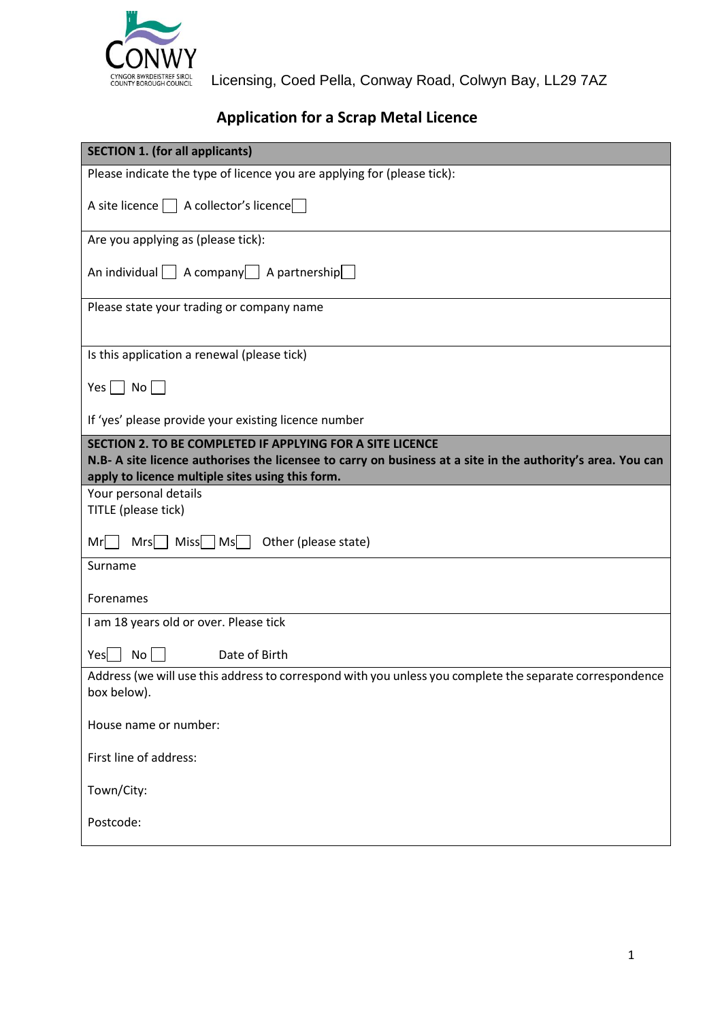

CYNGOR BWRDEISTREF SIROL Licensing, Coed Pella, Conway Road, Colwyn Bay, LL29 7AZ

# **Application for a Scrap Metal Licence**

| <b>SECTION 1. (for all applicants)</b>                                                                                                                                                                                       |
|------------------------------------------------------------------------------------------------------------------------------------------------------------------------------------------------------------------------------|
| Please indicate the type of licence you are applying for (please tick):                                                                                                                                                      |
| A site licence   A collector's licence                                                                                                                                                                                       |
| Are you applying as (please tick):                                                                                                                                                                                           |
| An individual A company A partnership                                                                                                                                                                                        |
| Please state your trading or company name                                                                                                                                                                                    |
| Is this application a renewal (please tick)                                                                                                                                                                                  |
| Yes $\Box$ No $\Box$                                                                                                                                                                                                         |
| If 'yes' please provide your existing licence number                                                                                                                                                                         |
| SECTION 2. TO BE COMPLETED IF APPLYING FOR A SITE LICENCE<br>N.B- A site licence authorises the licensee to carry on business at a site in the authority's area. You can<br>apply to licence multiple sites using this form. |
| Your personal details<br>TITLE (please tick)                                                                                                                                                                                 |
|                                                                                                                                                                                                                              |
| $Mrs$ Miss $MS$<br>Other (please state)<br>Mr                                                                                                                                                                                |
| Surname                                                                                                                                                                                                                      |
| Forenames                                                                                                                                                                                                                    |
| I am 18 years old or over. Please tick                                                                                                                                                                                       |
| Yes<br>No <sub>1</sub><br>Date of Birth                                                                                                                                                                                      |
| Address (we will use this address to correspond with you unless you complete the separate correspondence<br>box below).                                                                                                      |
| House name or number:                                                                                                                                                                                                        |
| First line of address:                                                                                                                                                                                                       |
| Town/City:                                                                                                                                                                                                                   |
| Postcode:                                                                                                                                                                                                                    |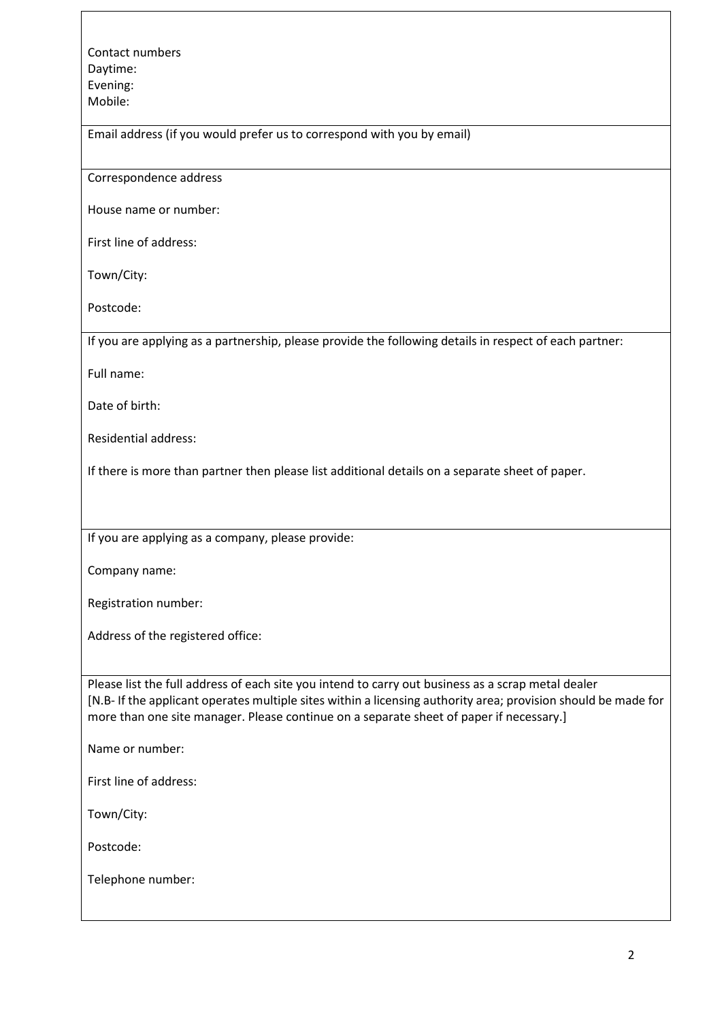Contact numbers Daytime: Evening: Mobile:

Email address (if you would prefer us to correspond with you by email)

Correspondence address

House name or number:

First line of address:

Town/City:

Postcode:

If you are applying as a partnership, please provide the following details in respect of each partner:

Full name:

Date of birth:

Residential address:

If there is more than partner then please list additional details on a separate sheet of paper.

If you are applying as a company, please provide:

Company name:

Registration number:

Address of the registered office:

Please list the full address of each site you intend to carry out business as a scrap metal dealer [N.B- If the applicant operates multiple sites within a licensing authority area; provision should be made for more than one site manager. Please continue on a separate sheet of paper if necessary.]

Name or number:

First line of address:

Town/City:

Postcode:

Telephone number: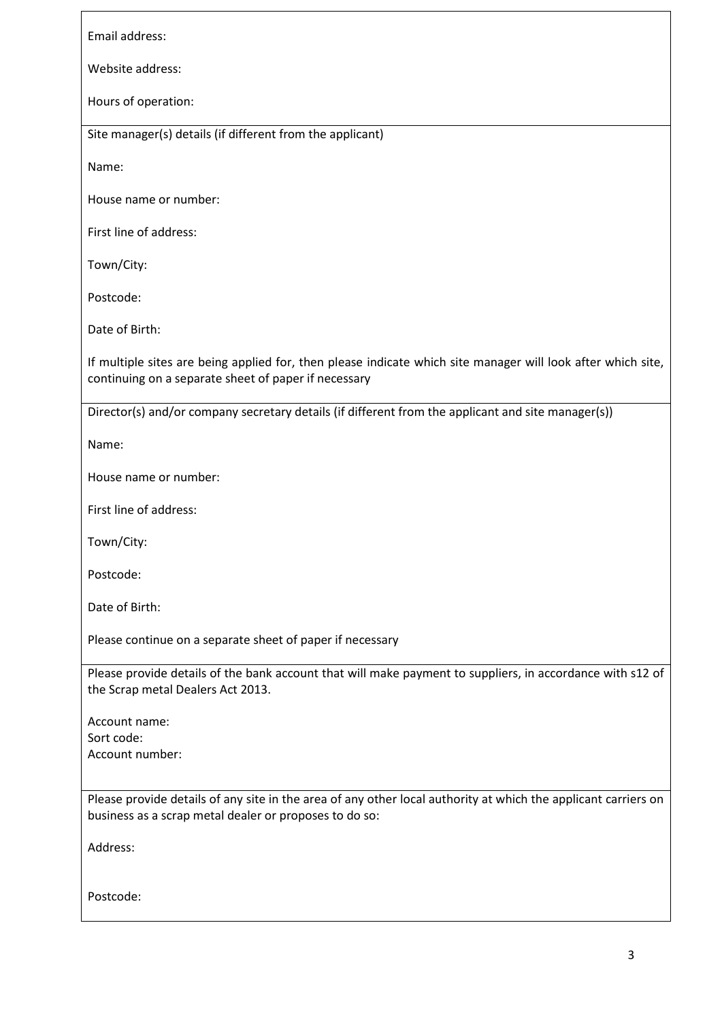Email address:

Website address:

Hours of operation:

Site manager(s) details (if different from the applicant)

Name:

House name or number:

First line of address:

Town/City:

Postcode:

Date of Birth:

If multiple sites are being applied for, then please indicate which site manager will look after which site, continuing on a separate sheet of paper if necessary

Director(s) and/or company secretary details (if different from the applicant and site manager(s))

Name:

House name or number:

First line of address:

Town/City:

Postcode:

Date of Birth:

Please continue on a separate sheet of paper if necessary

Please provide details of the bank account that will make payment to suppliers, in accordance with s12 of the Scrap metal Dealers Act 2013.

Account name: Sort code: Account number:

Please provide details of any site in the area of any other local authority at which the applicant carriers on business as a scrap metal dealer or proposes to do so:

Address:

Postcode: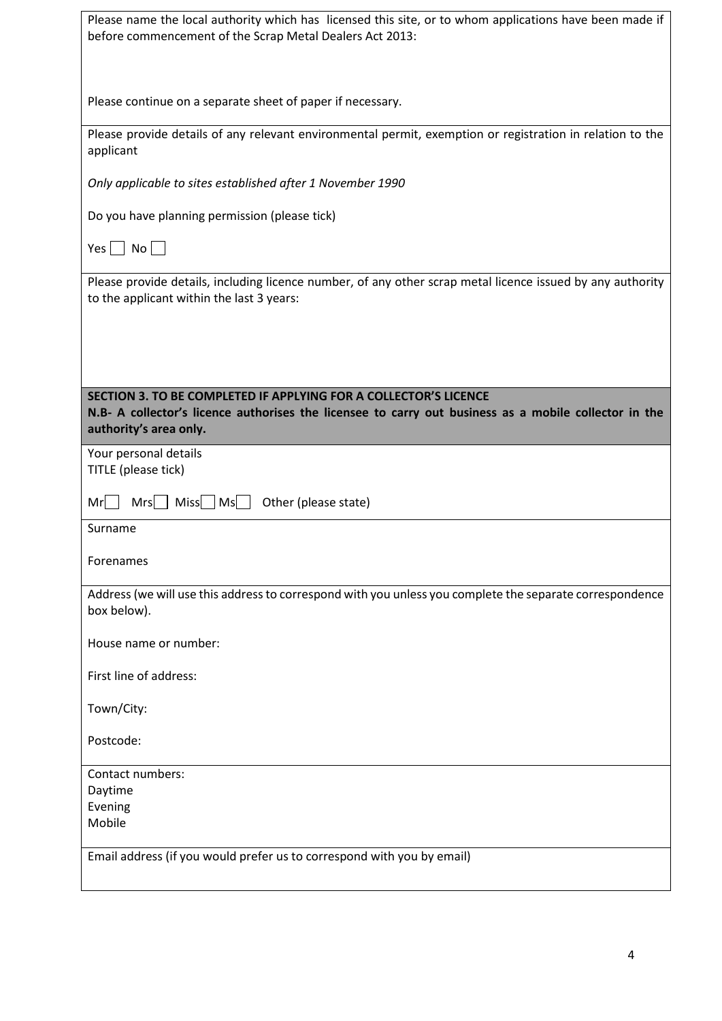| Please name the local authority which has licensed this site, or to whom applications have been made if<br>before commencement of the Scrap Metal Dealers Act 2013:                                 |
|-----------------------------------------------------------------------------------------------------------------------------------------------------------------------------------------------------|
| Please continue on a separate sheet of paper if necessary.                                                                                                                                          |
| Please provide details of any relevant environmental permit, exemption or registration in relation to the<br>applicant                                                                              |
| Only applicable to sites established after 1 November 1990                                                                                                                                          |
| Do you have planning permission (please tick)                                                                                                                                                       |
| Yes No                                                                                                                                                                                              |
| Please provide details, including licence number, of any other scrap metal licence issued by any authority<br>to the applicant within the last 3 years:                                             |
|                                                                                                                                                                                                     |
| SECTION 3. TO BE COMPLETED IF APPLYING FOR A COLLECTOR'S LICENCE<br>N.B- A collector's licence authorises the licensee to carry out business as a mobile collector in the<br>authority's area only. |
| Your personal details<br>TITLE (please tick)                                                                                                                                                        |
| $Mrs$   Miss   Ms    <br>Other (please state)<br>Mr                                                                                                                                                 |
| Surname                                                                                                                                                                                             |
| Forenames                                                                                                                                                                                           |
| Address (we will use this address to correspond with you unless you complete the separate correspondence<br>box below).                                                                             |
| House name or number:                                                                                                                                                                               |
| First line of address:                                                                                                                                                                              |
| Town/City:                                                                                                                                                                                          |
|                                                                                                                                                                                                     |
| Postcode:                                                                                                                                                                                           |
| Contact numbers:                                                                                                                                                                                    |
| Daytime                                                                                                                                                                                             |
| Evening<br>Mobile                                                                                                                                                                                   |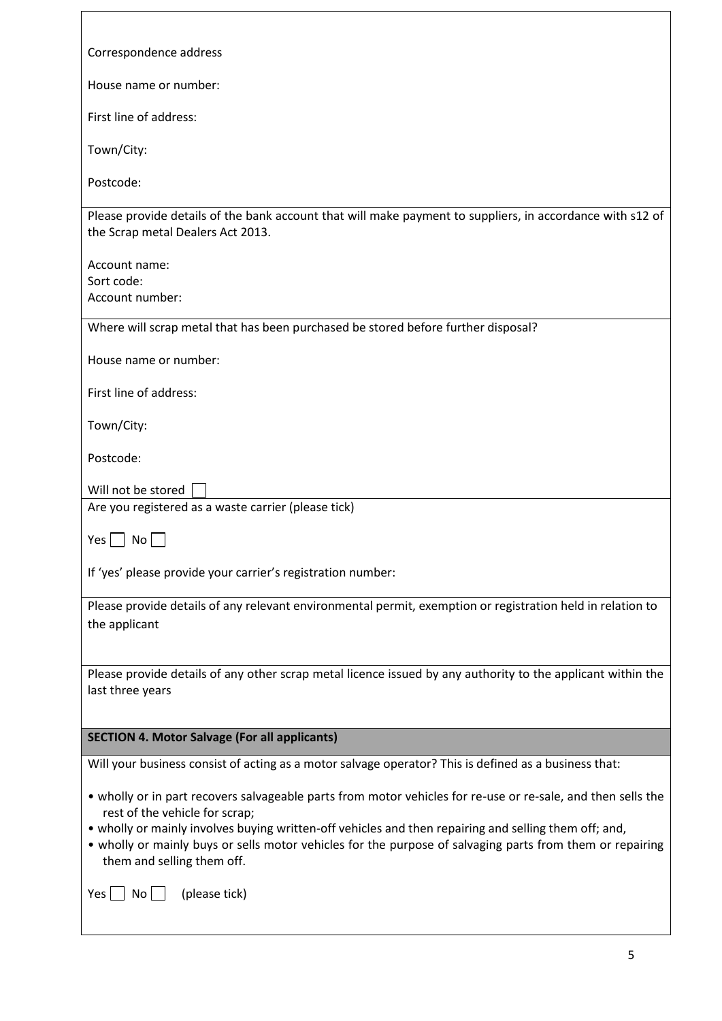| Correspondence address                                                                                                                         |
|------------------------------------------------------------------------------------------------------------------------------------------------|
| House name or number:                                                                                                                          |
| First line of address:                                                                                                                         |
| Town/City:                                                                                                                                     |
| Postcode:                                                                                                                                      |
| Please provide details of the bank account that will make payment to suppliers, in accordance with s12 of<br>the Scrap metal Dealers Act 2013. |
| Account name:                                                                                                                                  |
| Sort code:<br>Account number:                                                                                                                  |
| Where will scrap metal that has been purchased be stored before further disposal?                                                              |
| House name or number:                                                                                                                          |
|                                                                                                                                                |
| First line of address:                                                                                                                         |
| Town/City:                                                                                                                                     |
| Postcode:                                                                                                                                      |
| Will not be stored                                                                                                                             |
| Are you registered as a waste carrier (please tick)                                                                                            |
| Yes l<br>No.                                                                                                                                   |
| If 'yes' please provide your carrier's registration number:                                                                                    |
| Please provide details of any relevant environmental permit, exemption or registration held in relation to                                     |
| the applicant                                                                                                                                  |
|                                                                                                                                                |
| Please provide details of any other scrap metal licence issued by any authority to the applicant within the<br>last three years                |
|                                                                                                                                                |
| <b>SECTION 4. Motor Salvage (For all applicants)</b>                                                                                           |
| Will your business consist of acting as a motor salvage operator? This is defined as a business that:                                          |
| • wholly or in part recovers salvageable parts from motor vehicles for re-use or re-sale, and then sells the<br>rest of the vehicle for scrap; |
| • wholly or mainly involves buying written-off vehicles and then repairing and selling them off; and,                                          |
| • wholly or mainly buys or sells motor vehicles for the purpose of salvaging parts from them or repairing<br>them and selling them off.        |
| (please tick)<br>No<br>Yes                                                                                                                     |
|                                                                                                                                                |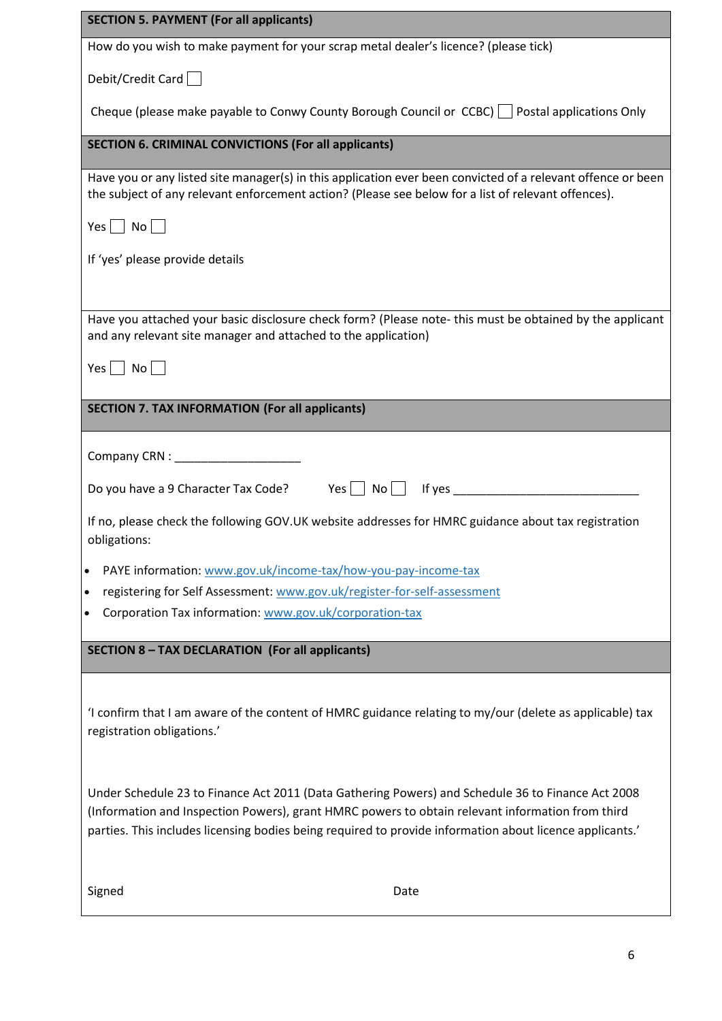| <b>SECTION 5. PAYMENT (For all applicants)</b>                                                                                                                                                                                                                                                                    |
|-------------------------------------------------------------------------------------------------------------------------------------------------------------------------------------------------------------------------------------------------------------------------------------------------------------------|
| How do you wish to make payment for your scrap metal dealer's licence? (please tick)                                                                                                                                                                                                                              |
| Debit/Credit Card                                                                                                                                                                                                                                                                                                 |
| Cheque (please make payable to Conwy County Borough Council or $CCEC$ ) $\Box$ Postal applications Only                                                                                                                                                                                                           |
| <b>SECTION 6. CRIMINAL CONVICTIONS (For all applicants)</b>                                                                                                                                                                                                                                                       |
| Have you or any listed site manager(s) in this application ever been convicted of a relevant offence or been<br>the subject of any relevant enforcement action? (Please see below for a list of relevant offences).                                                                                               |
| Yes No                                                                                                                                                                                                                                                                                                            |
| If 'yes' please provide details                                                                                                                                                                                                                                                                                   |
|                                                                                                                                                                                                                                                                                                                   |
| Have you attached your basic disclosure check form? (Please note- this must be obtained by the applicant<br>and any relevant site manager and attached to the application)                                                                                                                                        |
| $Yes \mid No \mid \mid$                                                                                                                                                                                                                                                                                           |
| <b>SECTION 7. TAX INFORMATION (For all applicants)</b>                                                                                                                                                                                                                                                            |
|                                                                                                                                                                                                                                                                                                                   |
|                                                                                                                                                                                                                                                                                                                   |
| Do you have a 9 Character Tax Code? Yes No If yes ______________________________                                                                                                                                                                                                                                  |
| If no, please check the following GOV.UK website addresses for HMRC guidance about tax registration<br>obligations:                                                                                                                                                                                               |
| PAYE information: www.gov.uk/income-tax/how-you-pay-income-tax<br>٠                                                                                                                                                                                                                                               |
| registering for Self Assessment: www.gov.uk/register-for-self-assessment<br>٠                                                                                                                                                                                                                                     |
| Corporation Tax information: www.gov.uk/corporation-tax<br>$\bullet$                                                                                                                                                                                                                                              |
| <b>SECTION 8 - TAX DECLARATION (For all applicants)</b>                                                                                                                                                                                                                                                           |
| I confirm that I am aware of the content of HMRC guidance relating to my/our (delete as applicable) tax<br>registration obligations.'                                                                                                                                                                             |
| Under Schedule 23 to Finance Act 2011 (Data Gathering Powers) and Schedule 36 to Finance Act 2008<br>(Information and Inspection Powers), grant HMRC powers to obtain relevant information from third<br>parties. This includes licensing bodies being required to provide information about licence applicants.' |
| Signed<br>Date                                                                                                                                                                                                                                                                                                    |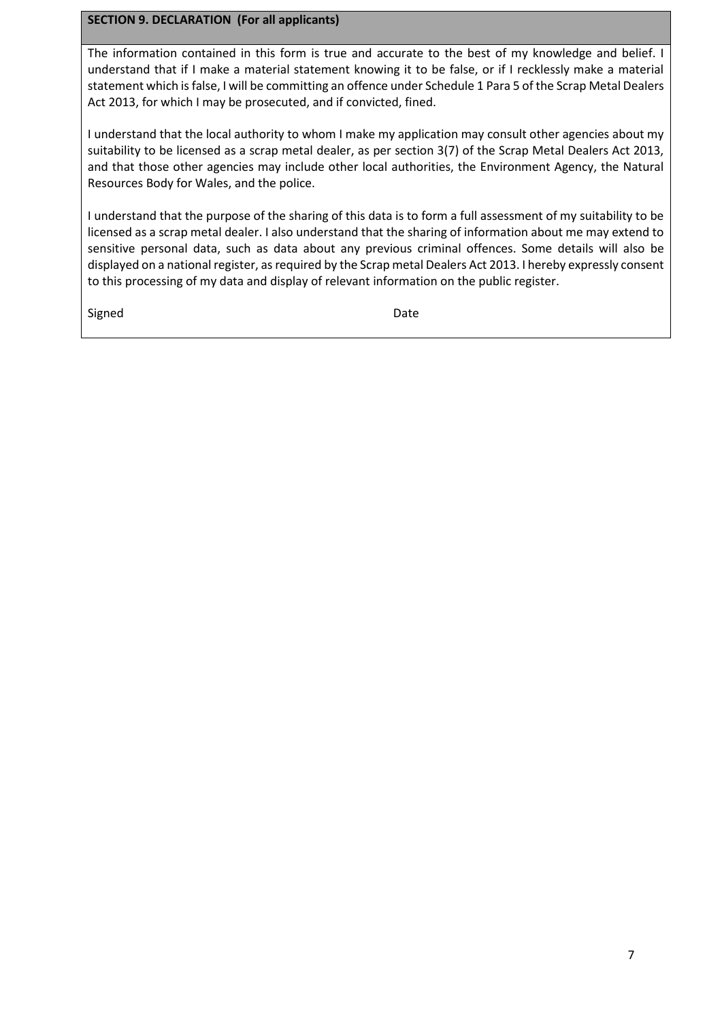#### **SECTION 9. DECLARATION (For all applicants)**

The information contained in this form is true and accurate to the best of my knowledge and belief. I understand that if I make a material statement knowing it to be false, or if I recklessly make a material statement which is false, I will be committing an offence under Schedule 1 Para 5 of the Scrap Metal Dealers Act 2013, for which I may be prosecuted, and if convicted, fined.

I understand that the local authority to whom I make my application may consult other agencies about my suitability to be licensed as a scrap metal dealer, as per section 3(7) of the Scrap Metal Dealers Act 2013, and that those other agencies may include other local authorities, the Environment Agency, the Natural Resources Body for Wales, and the police.

I understand that the purpose of the sharing of this data is to form a full assessment of my suitability to be licensed as a scrap metal dealer. I also understand that the sharing of information about me may extend to sensitive personal data, such as data about any previous criminal offences. Some details will also be displayed on a national register, as required by the Scrap metal Dealers Act 2013. I hereby expressly consent to this processing of my data and display of relevant information on the public register.

Signed Date Date Date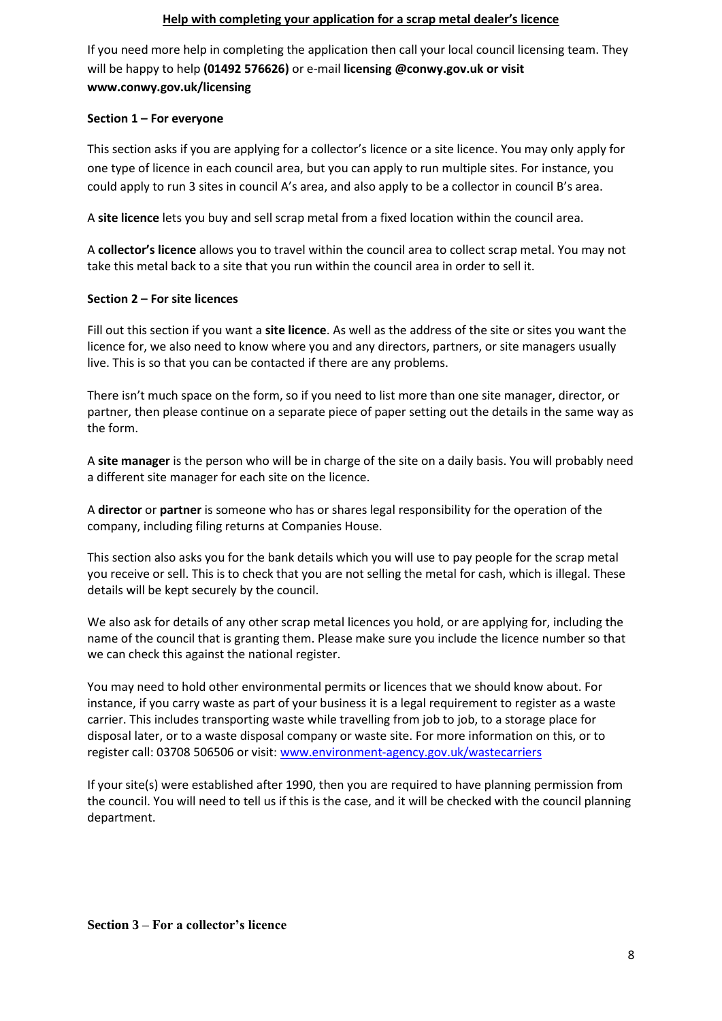#### **Help with completing your application for a scrap metal dealer's licence**

If you need more help in completing the application then call your local council licensing team. They will be happy to help **(01492 576626)** or e-mail **licensing @conwy.gov.uk or visit www.conwy.gov.uk/licensing**

#### **Section 1 – For everyone**

This section asks if you are applying for a collector's licence or a site licence. You may only apply for one type of licence in each council area, but you can apply to run multiple sites. For instance, you could apply to run 3 sites in council A's area, and also apply to be a collector in council B's area.

A **site licence** lets you buy and sell scrap metal from a fixed location within the council area.

A **collector's licence** allows you to travel within the council area to collect scrap metal. You may not take this metal back to a site that you run within the council area in order to sell it.

#### **Section 2 – For site licences**

Fill out this section if you want a **site licence**. As well as the address of the site or sites you want the licence for, we also need to know where you and any directors, partners, or site managers usually live. This is so that you can be contacted if there are any problems.

There isn't much space on the form, so if you need to list more than one site manager, director, or partner, then please continue on a separate piece of paper setting out the details in the same way as the form.

A **site manager** is the person who will be in charge of the site on a daily basis. You will probably need a different site manager for each site on the licence.

A **director** or **partner** is someone who has or shares legal responsibility for the operation of the company, including filing returns at Companies House.

This section also asks you for the bank details which you will use to pay people for the scrap metal you receive or sell. This is to check that you are not selling the metal for cash, which is illegal. These details will be kept securely by the council.

We also ask for details of any other scrap metal licences you hold, or are applying for, including the name of the council that is granting them. Please make sure you include the licence number so that we can check this against the national register.

You may need to hold other environmental permits or licences that we should know about. For instance, if you carry waste as part of your business it is a legal requirement to register as a waste carrier. This includes transporting waste while travelling from job to job, to a storage place for disposal later, or to a waste disposal company or waste site. For more information on this, or to register call: 03708 506506 or visit: [www.environment-agency.gov.uk/wastecarriers](http://www.environment-agency.gov.uk/wastecarriers)

If your site(s) were established after 1990, then you are required to have planning permission from the council. You will need to tell us if this is the case, and it will be checked with the council planning department.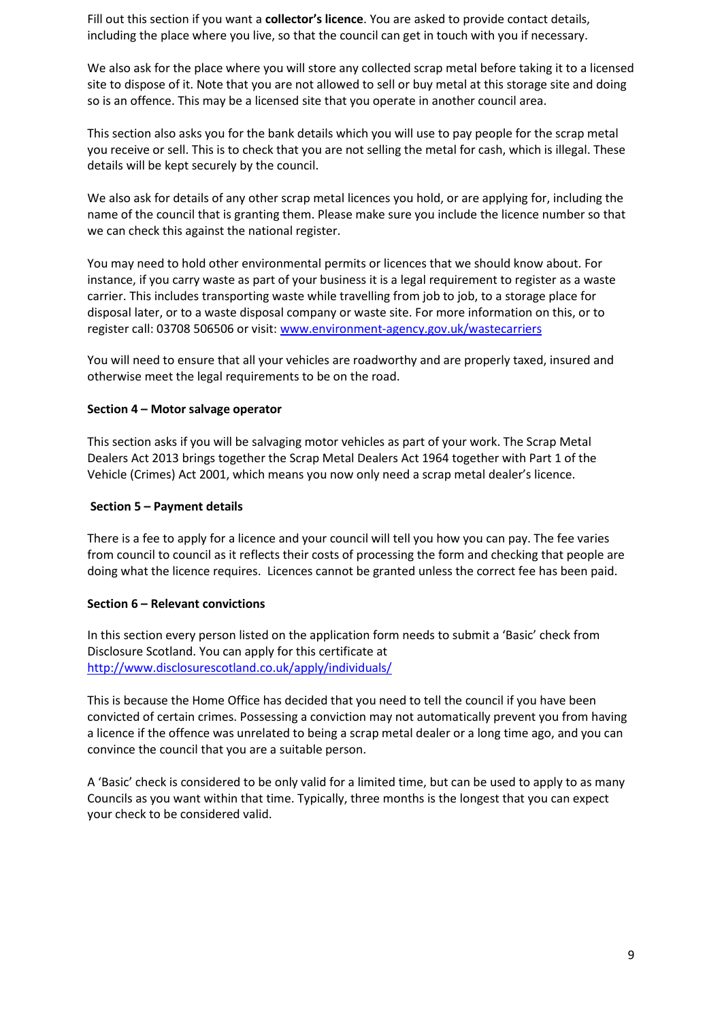Fill out this section if you want a **collector's licence**. You are asked to provide contact details, including the place where you live, so that the council can get in touch with you if necessary.

We also ask for the place where you will store any collected scrap metal before taking it to a licensed site to dispose of it. Note that you are not allowed to sell or buy metal at this storage site and doing so is an offence. This may be a licensed site that you operate in another council area.

This section also asks you for the bank details which you will use to pay people for the scrap metal you receive or sell. This is to check that you are not selling the metal for cash, which is illegal. These details will be kept securely by the council.

We also ask for details of any other scrap metal licences you hold, or are applying for, including the name of the council that is granting them. Please make sure you include the licence number so that we can check this against the national register.

You may need to hold other environmental permits or licences that we should know about. For instance, if you carry waste as part of your business it is a legal requirement to register as a waste carrier. This includes transporting waste while travelling from job to job, to a storage place for disposal later, or to a waste disposal company or waste site. For more information on this, or to register call: 03708 506506 or visit: [www.environment-agency.gov.uk/wastecarriers](http://www.environment-agency.gov.uk/wastecarriers)

You will need to ensure that all your vehicles are roadworthy and are properly taxed, insured and otherwise meet the legal requirements to be on the road.

#### **Section 4 – Motor salvage operator**

This section asks if you will be salvaging motor vehicles as part of your work. The Scrap Metal Dealers Act 2013 brings together the Scrap Metal Dealers Act 1964 together with Part 1 of the Vehicle (Crimes) Act 2001, which means you now only need a scrap metal dealer's licence.

#### **Section 5 – Payment details**

There is a fee to apply for a licence and your council will tell you how you can pay. The fee varies from council to council as it reflects their costs of processing the form and checking that people are doing what the licence requires. Licences cannot be granted unless the correct fee has been paid.

#### **Section 6 – Relevant convictions**

In this section every person listed on the application form needs to submit a 'Basic' check from Disclosure Scotland. You can apply for this certificate at <http://www.disclosurescotland.co.uk/apply/individuals/>

This is because the Home Office has decided that you need to tell the council if you have been convicted of certain crimes. Possessing a conviction may not automatically prevent you from having a licence if the offence was unrelated to being a scrap metal dealer or a long time ago, and you can convince the council that you are a suitable person.

A 'Basic' check is considered to be only valid for a limited time, but can be used to apply to as many Councils as you want within that time. Typically, three months is the longest that you can expect your check to be considered valid.